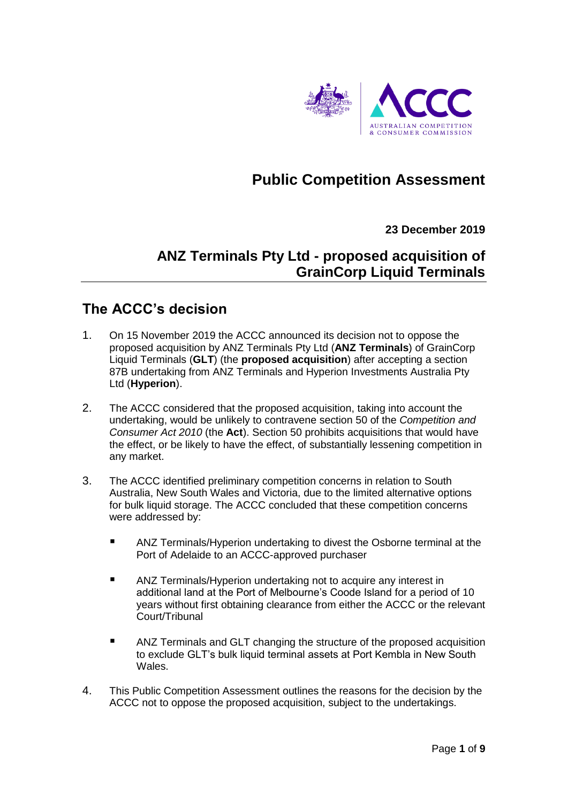

# **Public Competition Assessment**

### **23 December 2019**

## **ANZ Terminals Pty Ltd - proposed acquisition of GrainCorp Liquid Terminals**

## **The ACCC's decision**

- 1. On 15 November 2019 the ACCC announced its decision not to oppose the proposed acquisition by ANZ Terminals Pty Ltd (**ANZ Terminals**) of GrainCorp Liquid Terminals (**GLT**) (the **proposed acquisition**) after accepting a section 87B undertaking from ANZ Terminals and Hyperion Investments Australia Pty Ltd (**Hyperion**).
- 2. The ACCC considered that the proposed acquisition, taking into account the undertaking, would be unlikely to contravene section 50 of the *Competition and Consumer Act 2010* (the **Act**). Section 50 prohibits acquisitions that would have the effect, or be likely to have the effect, of substantially lessening competition in any market.
- 3. The ACCC identified preliminary competition concerns in relation to South Australia, New South Wales and Victoria, due to the limited alternative options for bulk liquid storage. The ACCC concluded that these competition concerns were addressed by:
	- ANZ Terminals/Hyperion undertaking to divest the Osborne terminal at the Port of Adelaide to an ACCC-approved purchaser
	- **ANZ Terminals/Hyperion undertaking not to acquire any interest in** additional land at the Port of Melbourne's Coode Island for a period of 10 years without first obtaining clearance from either the ACCC or the relevant Court/Tribunal
	- ANZ Terminals and GLT changing the structure of the proposed acquisition to exclude GLT's bulk liquid terminal assets at Port Kembla in New South Wales.
- 4. This Public Competition Assessment outlines the reasons for the decision by the ACCC not to oppose the proposed acquisition, subject to the undertakings.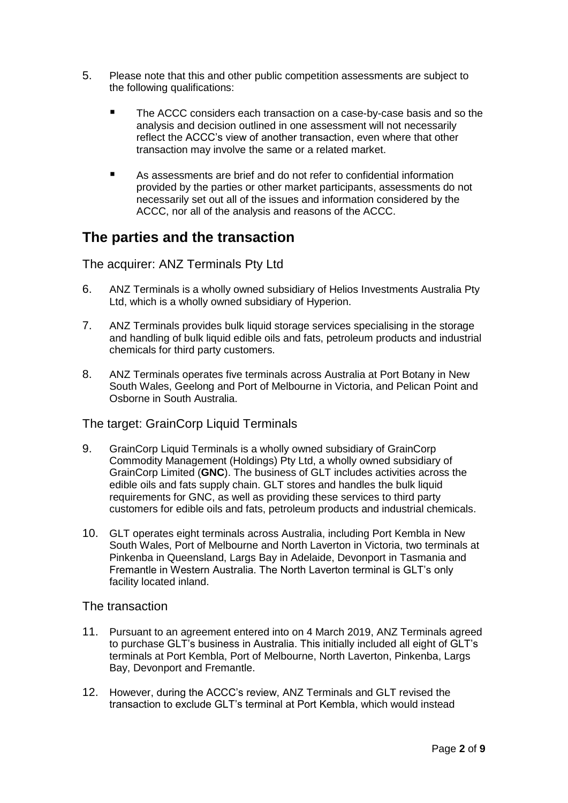- 5. Please note that this and other public competition assessments are subject to the following qualifications:
	- The ACCC considers each transaction on a case-by-case basis and so the analysis and decision outlined in one assessment will not necessarily reflect the ACCC's view of another transaction, even where that other transaction may involve the same or a related market.
	- As assessments are brief and do not refer to confidential information provided by the parties or other market participants, assessments do not necessarily set out all of the issues and information considered by the ACCC, nor all of the analysis and reasons of the ACCC.

## **The parties and the transaction**

The acquirer: ANZ Terminals Pty Ltd

- 6. ANZ Terminals is a wholly owned subsidiary of Helios Investments Australia Pty Ltd, which is a wholly owned subsidiary of Hyperion.
- 7. ANZ Terminals provides bulk liquid storage services specialising in the storage and handling of bulk liquid edible oils and fats, petroleum products and industrial chemicals for third party customers.
- 8. ANZ Terminals operates five terminals across Australia at Port Botany in New South Wales, Geelong and Port of Melbourne in Victoria, and Pelican Point and Osborne in South Australia.

The target: GrainCorp Liquid Terminals

- 9. GrainCorp Liquid Terminals is a wholly owned subsidiary of GrainCorp Commodity Management (Holdings) Pty Ltd, a wholly owned subsidiary of GrainCorp Limited (**GNC**). The business of GLT includes activities across the edible oils and fats supply chain. GLT stores and handles the bulk liquid requirements for GNC, as well as providing these services to third party customers for edible oils and fats, petroleum products and industrial chemicals.
- 10. GLT operates eight terminals across Australia, including Port Kembla in New South Wales, Port of Melbourne and North Laverton in Victoria, two terminals at Pinkenba in Queensland, Largs Bay in Adelaide, Devonport in Tasmania and Fremantle in Western Australia. The North Laverton terminal is GLT's only facility located inland.

### The transaction

- 11. Pursuant to an agreement entered into on 4 March 2019, ANZ Terminals agreed to purchase GLT's business in Australia. This initially included all eight of GLT's terminals at Port Kembla, Port of Melbourne, North Laverton, Pinkenba, Largs Bay, Devonport and Fremantle.
- 12. However, during the ACCC's review, ANZ Terminals and GLT revised the transaction to exclude GLT's terminal at Port Kembla, which would instead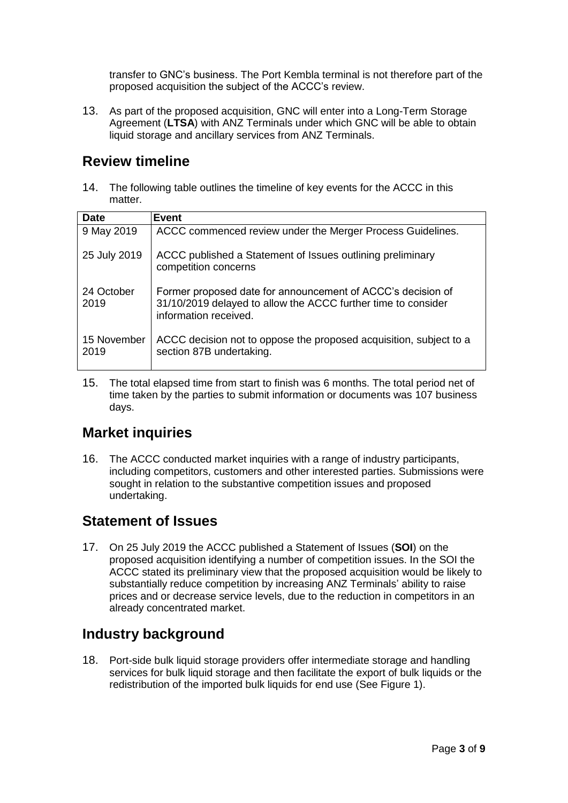transfer to GNC's business. The Port Kembla terminal is not therefore part of the proposed acquisition the subject of the ACCC's review.

13. As part of the proposed acquisition, GNC will enter into a Long-Term Storage Agreement (**LTSA**) with ANZ Terminals under which GNC will be able to obtain liquid storage and ancillary services from ANZ Terminals.

## **Review timeline**

14. The following table outlines the timeline of key events for the ACCC in this matter.

| <b>Date</b>         | <b>Event</b>                                                                                                                                          |
|---------------------|-------------------------------------------------------------------------------------------------------------------------------------------------------|
| 9 May 2019          | ACCC commenced review under the Merger Process Guidelines.                                                                                            |
| 25 July 2019        | ACCC published a Statement of Issues outlining preliminary<br>competition concerns                                                                    |
| 24 October<br>2019  | Former proposed date for announcement of ACCC's decision of<br>31/10/2019 delayed to allow the ACCC further time to consider<br>information received. |
| 15 November<br>2019 | ACCC decision not to oppose the proposed acquisition, subject to a<br>section 87B undertaking.                                                        |

15. The total elapsed time from start to finish was 6 months. The total period net of time taken by the parties to submit information or documents was 107 business days.

### **Market inquiries**

16. The ACCC conducted market inquiries with a range of industry participants, including competitors, customers and other interested parties. Submissions were sought in relation to the substantive competition issues and proposed undertaking.

## **Statement of Issues**

17. On 25 July 2019 the ACCC published a Statement of Issues (**SOI**) on the proposed acquisition identifying a number of competition issues. In the SOI the ACCC stated its preliminary view that the proposed acquisition would be likely to substantially reduce competition by increasing ANZ Terminals' ability to raise prices and or decrease service levels, due to the reduction in competitors in an already concentrated market.

# **Industry background**

18. Port-side bulk liquid storage providers offer intermediate storage and handling services for bulk liquid storage and then facilitate the export of bulk liquids or the redistribution of the imported bulk liquids for end use (See Figure 1).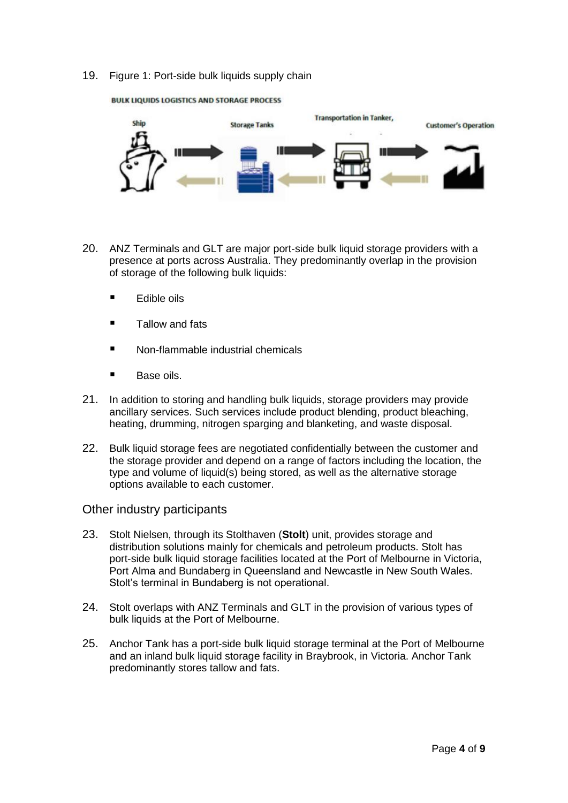19. Figure 1: Port-side bulk liquids supply chain



**BULK LIQUIDS LOGISTICS AND STORAGE PROCESS** 

- 20. ANZ Terminals and GLT are major port-side bulk liquid storage providers with a presence at ports across Australia. They predominantly overlap in the provision of storage of the following bulk liquids:
	- $\blacksquare$  Edible oils
	- Tallow and fats
	- Non-flammable industrial chemicals
	- **Base oils.**
- 21. In addition to storing and handling bulk liquids, storage providers may provide ancillary services. Such services include product blending, product bleaching, heating, drumming, nitrogen sparging and blanketing, and waste disposal.
- 22. Bulk liquid storage fees are negotiated confidentially between the customer and the storage provider and depend on a range of factors including the location, the type and volume of liquid(s) being stored, as well as the alternative storage options available to each customer.

#### Other industry participants

- 23. Stolt Nielsen, through its Stolthaven (**Stolt**) unit, provides storage and distribution solutions mainly for chemicals and petroleum products. Stolt has port-side bulk liquid storage facilities located at the Port of Melbourne in Victoria, Port Alma and Bundaberg in Queensland and Newcastle in New South Wales. Stolt's terminal in Bundaberg is not operational.
- 24. Stolt overlaps with ANZ Terminals and GLT in the provision of various types of bulk liquids at the Port of Melbourne.
- 25. Anchor Tank has a port-side bulk liquid storage terminal at the Port of Melbourne and an inland bulk liquid storage facility in Braybrook, in Victoria. Anchor Tank predominantly stores tallow and fats.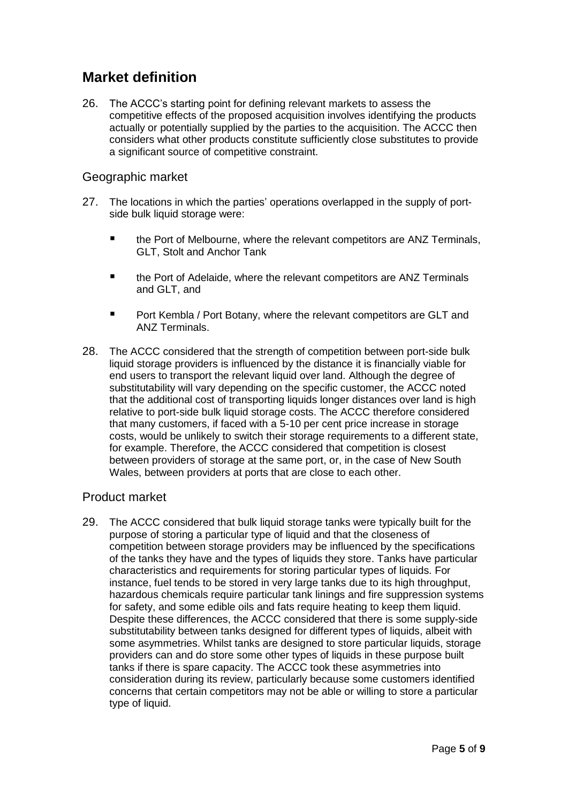## **Market definition**

26. The ACCC's starting point for defining relevant markets to assess the competitive effects of the proposed acquisition involves identifying the products actually or potentially supplied by the parties to the acquisition. The ACCC then considers what other products constitute sufficiently close substitutes to provide a significant source of competitive constraint.

### Geographic market

- 27. The locations in which the parties' operations overlapped in the supply of portside bulk liquid storage were:
	- the Port of Melbourne, where the relevant competitors are ANZ Terminals, GLT, Stolt and Anchor Tank
	- the Port of Adelaide, where the relevant competitors are ANZ Terminals and GLT, and
	- Port Kembla / Port Botany, where the relevant competitors are GLT and ANZ Terminals.
- 28. The ACCC considered that the strength of competition between port-side bulk liquid storage providers is influenced by the distance it is financially viable for end users to transport the relevant liquid over land. Although the degree of substitutability will vary depending on the specific customer, the ACCC noted that the additional cost of transporting liquids longer distances over land is high relative to port-side bulk liquid storage costs. The ACCC therefore considered that many customers, if faced with a 5-10 per cent price increase in storage costs, would be unlikely to switch their storage requirements to a different state, for example. Therefore, the ACCC considered that competition is closest between providers of storage at the same port, or, in the case of New South Wales, between providers at ports that are close to each other.

### Product market

29. The ACCC considered that bulk liquid storage tanks were typically built for the purpose of storing a particular type of liquid and that the closeness of competition between storage providers may be influenced by the specifications of the tanks they have and the types of liquids they store. Tanks have particular characteristics and requirements for storing particular types of liquids. For instance, fuel tends to be stored in very large tanks due to its high throughput, hazardous chemicals require particular tank linings and fire suppression systems for safety, and some edible oils and fats require heating to keep them liquid. Despite these differences, the ACCC considered that there is some supply-side substitutability between tanks designed for different types of liquids, albeit with some asymmetries. Whilst tanks are designed to store particular liquids, storage providers can and do store some other types of liquids in these purpose built tanks if there is spare capacity. The ACCC took these asymmetries into consideration during its review, particularly because some customers identified concerns that certain competitors may not be able or willing to store a particular type of liquid.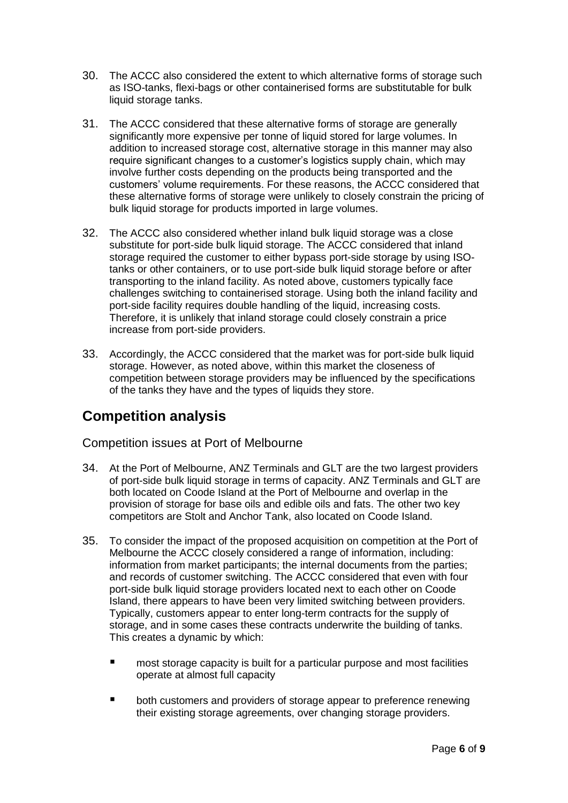- 30. The ACCC also considered the extent to which alternative forms of storage such as ISO-tanks, flexi-bags or other containerised forms are substitutable for bulk liquid storage tanks.
- 31. The ACCC considered that these alternative forms of storage are generally significantly more expensive per tonne of liquid stored for large volumes. In addition to increased storage cost, alternative storage in this manner may also require significant changes to a customer's logistics supply chain, which may involve further costs depending on the products being transported and the customers' volume requirements. For these reasons, the ACCC considered that these alternative forms of storage were unlikely to closely constrain the pricing of bulk liquid storage for products imported in large volumes.
- 32. The ACCC also considered whether inland bulk liquid storage was a close substitute for port-side bulk liquid storage. The ACCC considered that inland storage required the customer to either bypass port-side storage by using ISOtanks or other containers, or to use port-side bulk liquid storage before or after transporting to the inland facility. As noted above, customers typically face challenges switching to containerised storage. Using both the inland facility and port-side facility requires double handling of the liquid, increasing costs. Therefore, it is unlikely that inland storage could closely constrain a price increase from port-side providers.
- 33. Accordingly, the ACCC considered that the market was for port-side bulk liquid storage. However, as noted above, within this market the closeness of competition between storage providers may be influenced by the specifications of the tanks they have and the types of liquids they store.

## **Competition analysis**

Competition issues at Port of Melbourne

- 34. At the Port of Melbourne, ANZ Terminals and GLT are the two largest providers of port-side bulk liquid storage in terms of capacity. ANZ Terminals and GLT are both located on Coode Island at the Port of Melbourne and overlap in the provision of storage for base oils and edible oils and fats. The other two key competitors are Stolt and Anchor Tank, also located on Coode Island.
- 35. To consider the impact of the proposed acquisition on competition at the Port of Melbourne the ACCC closely considered a range of information, including: information from market participants; the internal documents from the parties; and records of customer switching. The ACCC considered that even with four port-side bulk liquid storage providers located next to each other on Coode Island, there appears to have been very limited switching between providers. Typically, customers appear to enter long-term contracts for the supply of storage, and in some cases these contracts underwrite the building of tanks. This creates a dynamic by which:
	- most storage capacity is built for a particular purpose and most facilities operate at almost full capacity
	- both customers and providers of storage appear to preference renewing their existing storage agreements, over changing storage providers.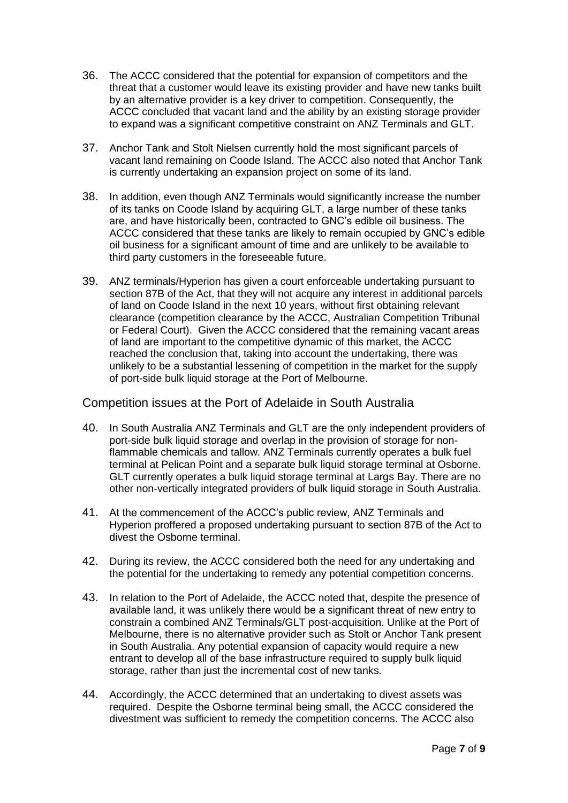- 36. The ACCC considered that the potential for expansion of competitors and the threat that a customer would leave its existing provider and have new tanks built by an alternative provider is a key driver to competition. Consequently, the ACCC concluded that vacant land and the ability by an existing storage provider to expand was a significant competitive constraint on ANZ Terminals and GLT.
- 37. Anchor Tank and Stolt Nielsen currently hold the most significant parcels of vacant land remaining on Coode Island. The ACCC also noted that Anchor Tank is currently undertaking an expansion project on some of its land.
- 38. In addition, even though ANZ Terminals would significantly increase the number of its tanks on Coode Island by acquiring GLT, a large number of these tanks are, and have historically been, contracted to GNC's edible oil business. The ACCC considered that these tanks are likely to remain occupied by GNC's edible oil business for a significant amount of time and are unlikely to be available to third party customers in the foreseeable future.
- 39. ANZ terminals/Hyperion has given a court enforceable undertaking pursuant to section 87B of the Act, that they will not acquire any interest in additional parcels of land on Coode Island in the next 10 years, without first obtaining relevant clearance (competition clearance by the ACCC, Australian Competition Tribunal or Federal Court). Given the ACCC considered that the remaining vacant areas of land are important to the competitive dynamic of this market, the ACCC reached the conclusion that, taking into account the undertaking, there was unlikely to be a substantial lessening of competition in the market for the supply of port-side bulk liquid storage at the Port of Melbourne.

### Competition issues at the Port of Adelaide in South Australia

- 40. In South Australia ANZ Terminals and GLT are the only independent providers of port-side bulk liquid storage and overlap in the provision of storage for nonflammable chemicals and tallow. ANZ Terminals currently operates a bulk fuel terminal at Pelican Point and a separate bulk liquid storage terminal at Osborne. GLT currently operates a bulk liquid storage terminal at Largs Bay. There are no other non-vertically integrated providers of bulk liquid storage in South Australia.
- 41. At the commencement of the ACCC's public review, ANZ Terminals and Hyperion proffered a proposed undertaking pursuant to section 87B of the Act to divest the Osborne terminal.
- 42. During its review, the ACCC considered both the need for any undertaking and the potential for the undertaking to remedy any potential competition concerns.
- 43. In relation to the Port of Adelaide, the ACCC noted that, despite the presence of available land, it was unlikely there would be a significant threat of new entry to constrain a combined ANZ Terminals/GLT post-acquisition. Unlike at the Port of Melbourne, there is no alternative provider such as Stolt or Anchor Tank present in South Australia. Any potential expansion of capacity would require a new entrant to develop all of the base infrastructure required to supply bulk liquid storage, rather than just the incremental cost of new tanks.
- 44. Accordingly, the ACCC determined that an undertaking to divest assets was required. Despite the Osborne terminal being small, the ACCC considered the divestment was sufficient to remedy the competition concerns. The ACCC also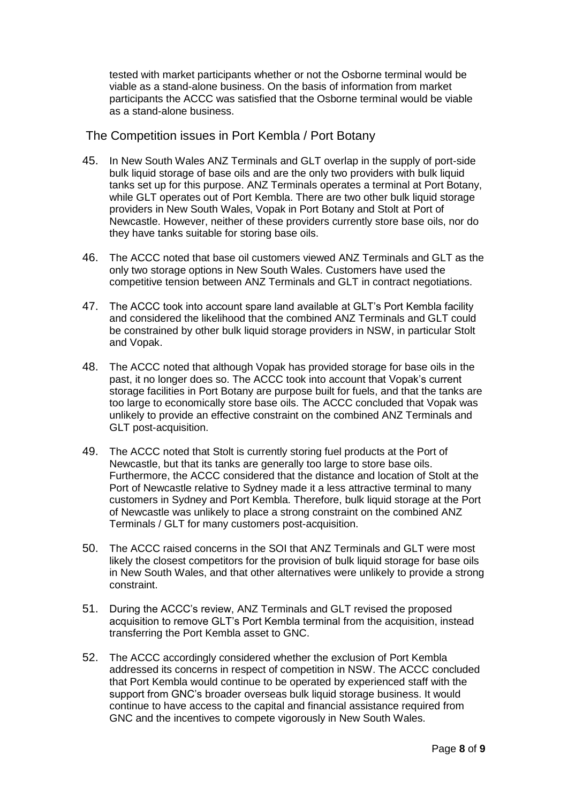tested with market participants whether or not the Osborne terminal would be viable as a stand-alone business. On the basis of information from market participants the ACCC was satisfied that the Osborne terminal would be viable as a stand-alone business.

### The Competition issues in Port Kembla / Port Botany

- 45. In New South Wales ANZ Terminals and GLT overlap in the supply of port-side bulk liquid storage of base oils and are the only two providers with bulk liquid tanks set up for this purpose. ANZ Terminals operates a terminal at Port Botany, while GLT operates out of Port Kembla. There are two other bulk liquid storage providers in New South Wales, Vopak in Port Botany and Stolt at Port of Newcastle. However, neither of these providers currently store base oils, nor do they have tanks suitable for storing base oils.
- 46. The ACCC noted that base oil customers viewed ANZ Terminals and GLT as the only two storage options in New South Wales. Customers have used the competitive tension between ANZ Terminals and GLT in contract negotiations.
- 47. The ACCC took into account spare land available at GLT's Port Kembla facility and considered the likelihood that the combined ANZ Terminals and GLT could be constrained by other bulk liquid storage providers in NSW, in particular Stolt and Vopak.
- 48. The ACCC noted that although Vopak has provided storage for base oils in the past, it no longer does so. The ACCC took into account that Vopak's current storage facilities in Port Botany are purpose built for fuels, and that the tanks are too large to economically store base oils. The ACCC concluded that Vopak was unlikely to provide an effective constraint on the combined ANZ Terminals and GLT post-acquisition.
- 49. The ACCC noted that Stolt is currently storing fuel products at the Port of Newcastle, but that its tanks are generally too large to store base oils. Furthermore, the ACCC considered that the distance and location of Stolt at the Port of Newcastle relative to Sydney made it a less attractive terminal to many customers in Sydney and Port Kembla. Therefore, bulk liquid storage at the Port of Newcastle was unlikely to place a strong constraint on the combined ANZ Terminals / GLT for many customers post-acquisition.
- 50. The ACCC raised concerns in the SOI that ANZ Terminals and GLT were most likely the closest competitors for the provision of bulk liquid storage for base oils in New South Wales, and that other alternatives were unlikely to provide a strong constraint.
- 51. During the ACCC's review, ANZ Terminals and GLT revised the proposed acquisition to remove GLT's Port Kembla terminal from the acquisition, instead transferring the Port Kembla asset to GNC.
- 52. The ACCC accordingly considered whether the exclusion of Port Kembla addressed its concerns in respect of competition in NSW. The ACCC concluded that Port Kembla would continue to be operated by experienced staff with the support from GNC's broader overseas bulk liquid storage business. It would continue to have access to the capital and financial assistance required from GNC and the incentives to compete vigorously in New South Wales.